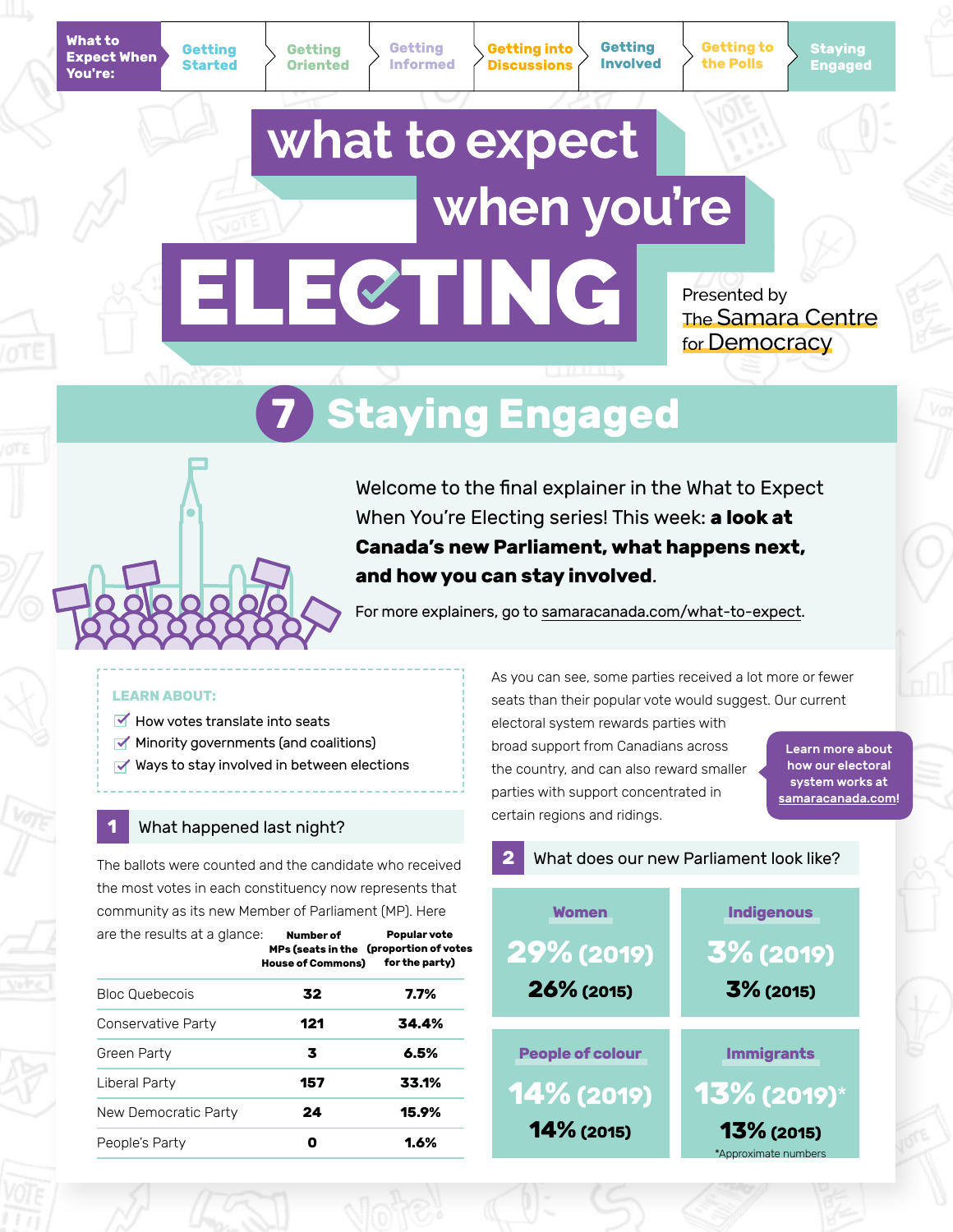**Getting into Discussions**

**Getting Involved** **Getting to the Polls**

**Staying Engaged**

# what to expect when you're ELECTING

Presented by The Samara Centre for Democracy

# **7 Staying Engaged**

Welcome to the final explainer in the What to Expect When You're Electing series! This week: **a look at Canada's new Parliament, what happens next, and how you can stay involved**.

For more explainers, go to [samaracanada.com/what-to-expect](https://www.samaracanada.com/samara-in-the-classroom/what-to-expect-when-you).

#### **LEARN ABOUT:**

- $\blacktriangleright$  How votes translate into seats
- $\blacktriangleright$  Minority governments (and coalitions)
- $\blacktriangleright$  Ways to stay involved in between elections

### **1** What happened last night?

The ballots were counted and the candidate who received the most votes in each constituency now represents that community as its new Member of Parliament (MP). Here

| are the results at a glance: | Number of<br>MPs (seats in the (proportion of votes<br><b>House of Commons)</b> | Popular vote<br>for the party) |
|------------------------------|---------------------------------------------------------------------------------|--------------------------------|
| Bloc Quebecois               | 32                                                                              | 7.7%                           |
| Conservative Party           | 121                                                                             | 34.4%                          |
| Green Party                  | 3                                                                               | 6.5%                           |
| Liberal Party                | 157                                                                             | 33.1%                          |
| New Democratic Party         | 24                                                                              | 15.9%                          |
| People's Party               |                                                                                 | 1.6%                           |

As you can see, some parties received a lot more or fewer seats than their popular vote would suggest. Our current

electoral system rewards parties with broad support from Canadians across the country, and can also reward smaller parties with support concentrated in certain regions and ridings.

Learn more about how our electoral system works at [samaracanada.com!](https://www.samaracanada.com/samara-in-the-classroom/electoral-reform/first-past-the-post)